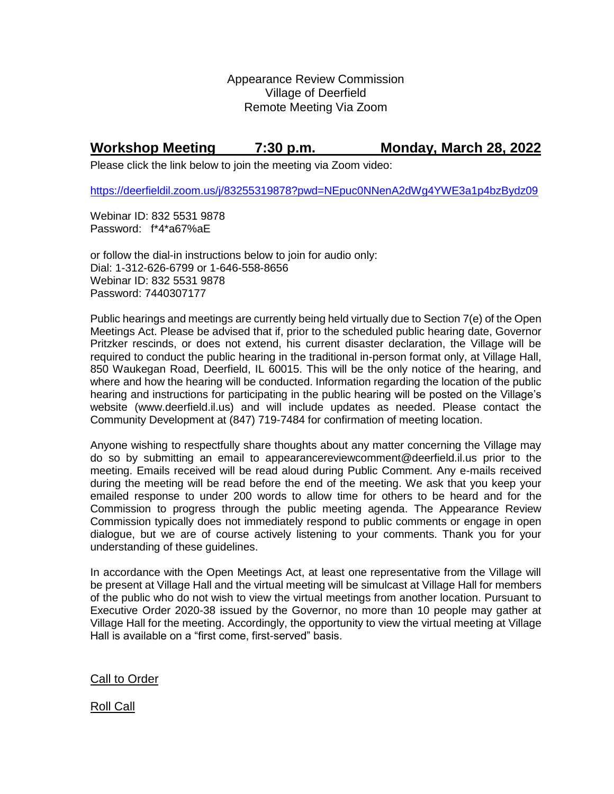Appearance Review Commission Village of Deerfield Remote Meeting Via Zoom

## **Workshop Meeting 7:30 p.m. Monday, March 28, 2022**

Please click the link below to join the meeting via Zoom video:

<https://deerfieldil.zoom.us/j/83255319878?pwd=NEpuc0NNenA2dWg4YWE3a1p4bzBydz09>

Webinar ID: 832 5531 9878 Password: f\*4\*a67%aE

or follow the dial-in instructions below to join for audio only: Dial: 1-312-626-6799 or 1-646-558-8656 Webinar ID: 832 5531 9878 Password: 7440307177

Public hearings and meetings are currently being held virtually due to Section 7(e) of the Open Meetings Act. Please be advised that if, prior to the scheduled public hearing date, Governor Pritzker rescinds, or does not extend, his current disaster declaration, the Village will be required to conduct the public hearing in the traditional in-person format only, at Village Hall, 850 Waukegan Road, Deerfield, IL 60015. This will be the only notice of the hearing, and where and how the hearing will be conducted. Information regarding the location of the public hearing and instructions for participating in the public hearing will be posted on the Village's website (www.deerfield.il.us) and will include updates as needed. Please contact the Community Development at (847) 719-7484 for confirmation of meeting location.

Anyone wishing to respectfully share thoughts about any matter concerning the Village may do so by submitting an email to [appearancereviewcomment@deerfield.il.us](mailto:appearancereviewcomment@deerfield.il.us) prior to the meeting. Emails received will be read aloud during Public Comment. Any e-mails received during the meeting will be read before the end of the meeting. We ask that you keep your emailed response to under 200 words to allow time for others to be heard and for the Commission to progress through the public meeting agenda. The Appearance Review Commission typically does not immediately respond to public comments or engage in open dialogue, but we are of course actively listening to your comments. Thank you for your understanding of these guidelines.

In accordance with the Open Meetings Act, at least one representative from the Village will be present at Village Hall and the virtual meeting will be simulcast at Village Hall for members of the public who do not wish to view the virtual meetings from another location. Pursuant to Executive Order 2020-38 issued by the Governor, no more than 10 people may gather at Village Hall for the meeting. Accordingly, the opportunity to view the virtual meeting at Village Hall is available on a "first come, first-served" basis.

Call to Order

Roll Call